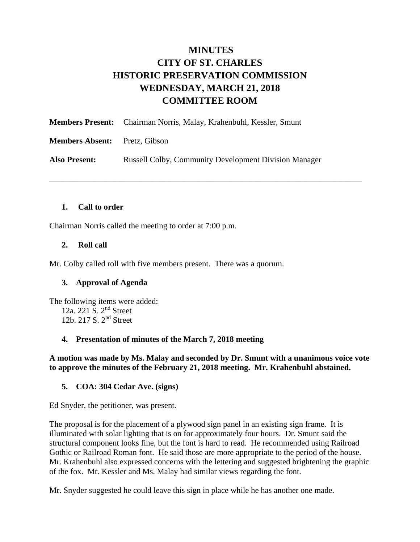# **MINUTES CITY OF ST. CHARLES HISTORIC PRESERVATION COMMISSION WEDNESDAY, MARCH 21, 2018 COMMITTEE ROOM**

\_\_\_\_\_\_\_\_\_\_\_\_\_\_\_\_\_\_\_\_\_\_\_\_\_\_\_\_\_\_\_\_\_\_\_\_\_\_\_\_\_\_\_\_\_\_\_\_\_\_\_\_\_\_\_\_\_\_\_\_\_\_\_\_\_\_\_\_\_\_\_\_\_\_\_\_

|                        | <b>Members Present:</b> Chairman Norris, Malay, Krahenbuhl, Kessler, Smunt |
|------------------------|----------------------------------------------------------------------------|
| <b>Members Absent:</b> | Pretz, Gibson                                                              |
| <b>Also Present:</b>   | <b>Russell Colby, Community Development Division Manager</b>               |

### **1. Call to order**

Chairman Norris called the meeting to order at 7:00 p.m.

### **2. Roll call**

Mr. Colby called roll with five members present. There was a quorum.

### **3. Approval of Agenda**

The following items were added: 12a. 221 S. 2<sup>nd</sup> Street 12b. 217 S. 2nd Street

#### **4. Presentation of minutes of the March 7, 2018 meeting**

### **A motion was made by Ms. Malay and seconded by Dr. Smunt with a unanimous voice vote to approve the minutes of the February 21, 2018 meeting. Mr. Krahenbuhl abstained.**

#### **5. COA: 304 Cedar Ave. (signs)**

Ed Snyder, the petitioner, was present.

The proposal is for the placement of a plywood sign panel in an existing sign frame. It is illuminated with solar lighting that is on for approximately four hours. Dr. Smunt said the structural component looks fine, but the font is hard to read. He recommended using Railroad Gothic or Railroad Roman font. He said those are more appropriate to the period of the house. Mr. Krahenbuhl also expressed concerns with the lettering and suggested brightening the graphic of the fox. Mr. Kessler and Ms. Malay had similar views regarding the font.

Mr. Snyder suggested he could leave this sign in place while he has another one made.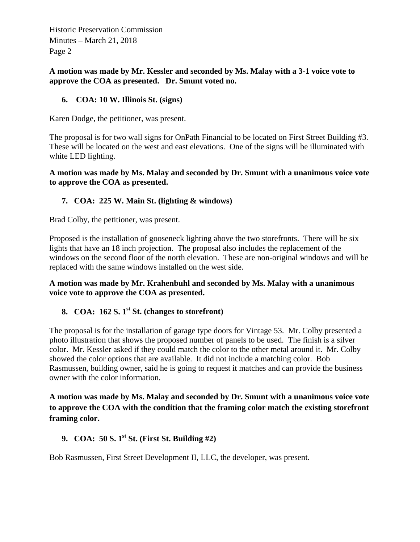**A motion was made by Mr. Kessler and seconded by Ms. Malay with a 3-1 voice vote to approve the COA as presented. Dr. Smunt voted no.** 

### **6. COA: 10 W. Illinois St. (signs)**

Karen Dodge, the petitioner, was present.

The proposal is for two wall signs for OnPath Financial to be located on First Street Building #3. These will be located on the west and east elevations. One of the signs will be illuminated with white LED lighting.

**A motion was made by Ms. Malay and seconded by Dr. Smunt with a unanimous voice vote to approve the COA as presented.** 

### **7. COA: 225 W. Main St. (lighting & windows)**

Brad Colby, the petitioner, was present.

Proposed is the installation of gooseneck lighting above the two storefronts. There will be six lights that have an 18 inch projection. The proposal also includes the replacement of the windows on the second floor of the north elevation. These are non-original windows and will be replaced with the same windows installed on the west side.

**A motion was made by Mr. Krahenbuhl and seconded by Ms. Malay with a unanimous voice vote to approve the COA as presented.** 

## 8. **COA:** 162 S. 1<sup>st</sup> St. (changes to storefront)

The proposal is for the installation of garage type doors for Vintage 53. Mr. Colby presented a photo illustration that shows the proposed number of panels to be used. The finish is a silver color. Mr. Kessler asked if they could match the color to the other metal around it. Mr. Colby showed the color options that are available. It did not include a matching color. Bob Rasmussen, building owner, said he is going to request it matches and can provide the business owner with the color information.

**A motion was made by Ms. Malay and seconded by Dr. Smunt with a unanimous voice vote to approve the COA with the condition that the framing color match the existing storefront framing color.** 

## **9. COA: 50 S. 1st St. (First St. Building #2)**

Bob Rasmussen, First Street Development II, LLC, the developer, was present.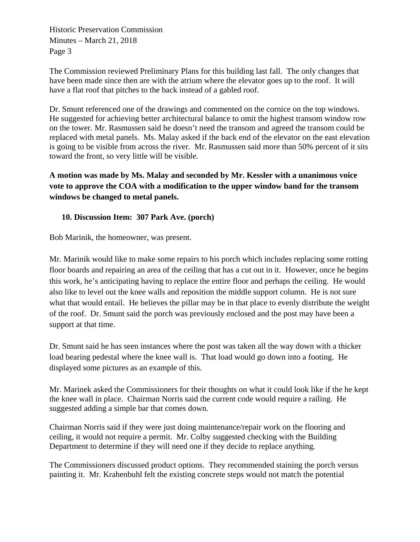The Commission reviewed Preliminary Plans for this building last fall. The only changes that have been made since then are with the atrium where the elevator goes up to the roof. It will have a flat roof that pitches to the back instead of a gabled roof.

Dr. Smunt referenced one of the drawings and commented on the cornice on the top windows. He suggested for achieving better architectural balance to omit the highest transom window row on the tower. Mr. Rasmussen said he doesn't need the transom and agreed the transom could be replaced with metal panels. Ms. Malay asked if the back end of the elevator on the east elevation is going to be visible from across the river. Mr. Rasmussen said more than 50% percent of it sits toward the front, so very little will be visible.

**A motion was made by Ms. Malay and seconded by Mr. Kessler with a unanimous voice vote to approve the COA with a modification to the upper window band for the transom windows be changed to metal panels.** 

### **10. Discussion Item: 307 Park Ave. (porch)**

Bob Marinik, the homeowner, was present.

Mr. Marinik would like to make some repairs to his porch which includes replacing some rotting floor boards and repairing an area of the ceiling that has a cut out in it. However, once he begins this work, he's anticipating having to replace the entire floor and perhaps the ceiling. He would also like to level out the knee walls and reposition the middle support column. He is not sure what that would entail. He believes the pillar may be in that place to evenly distribute the weight of the roof. Dr. Smunt said the porch was previously enclosed and the post may have been a support at that time.

Dr. Smunt said he has seen instances where the post was taken all the way down with a thicker load bearing pedestal where the knee wall is. That load would go down into a footing. He displayed some pictures as an example of this.

Mr. Marinek asked the Commissioners for their thoughts on what it could look like if the he kept the knee wall in place. Chairman Norris said the current code would require a railing. He suggested adding a simple bar that comes down.

Chairman Norris said if they were just doing maintenance/repair work on the flooring and ceiling, it would not require a permit. Mr. Colby suggested checking with the Building Department to determine if they will need one if they decide to replace anything.

The Commissioners discussed product options. They recommended staining the porch versus painting it. Mr. Krahenbuhl felt the existing concrete steps would not match the potential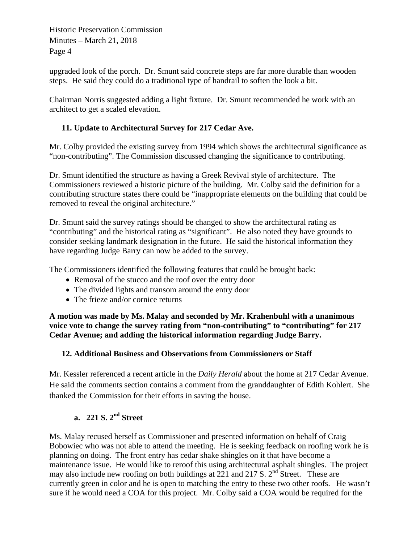upgraded look of the porch. Dr. Smunt said concrete steps are far more durable than wooden steps. He said they could do a traditional type of handrail to soften the look a bit.

Chairman Norris suggested adding a light fixture. Dr. Smunt recommended he work with an architect to get a scaled elevation.

## **11. Update to Architectural Survey for 217 Cedar Ave.**

Mr. Colby provided the existing survey from 1994 which shows the architectural significance as "non-contributing". The Commission discussed changing the significance to contributing.

Dr. Smunt identified the structure as having a Greek Revival style of architecture. The Commissioners reviewed a historic picture of the building. Mr. Colby said the definition for a contributing structure states there could be "inappropriate elements on the building that could be removed to reveal the original architecture."

Dr. Smunt said the survey ratings should be changed to show the architectural rating as "contributing" and the historical rating as "significant". He also noted they have grounds to consider seeking landmark designation in the future. He said the historical information they have regarding Judge Barry can now be added to the survey.

The Commissioners identified the following features that could be brought back:

- Removal of the stucco and the roof over the entry door
- The divided lights and transom around the entry door
- The frieze and/or cornice returns

**A motion was made by Ms. Malay and seconded by Mr. Krahenbuhl with a unanimous voice vote to change the survey rating from "non-contributing" to "contributing" for 217 Cedar Avenue; and adding the historical information regarding Judge Barry.** 

### **12. Additional Business and Observations from Commissioners or Staff**

Mr. Kessler referenced a recent article in the *Daily Herald* about the home at 217 Cedar Avenue. He said the comments section contains a comment from the granddaughter of Edith Kohlert. She thanked the Commission for their efforts in saving the house.

## **a. 221 S. 2nd Street**

Ms. Malay recused herself as Commissioner and presented information on behalf of Craig Bobowiec who was not able to attend the meeting. He is seeking feedback on roofing work he is planning on doing. The front entry has cedar shake shingles on it that have become a maintenance issue. He would like to reroof this using architectural asphalt shingles. The project may also include new roofing on both buildings at 221 and 217 S.  $2<sup>nd</sup>$  Street. These are currently green in color and he is open to matching the entry to these two other roofs. He wasn't sure if he would need a COA for this project. Mr. Colby said a COA would be required for the